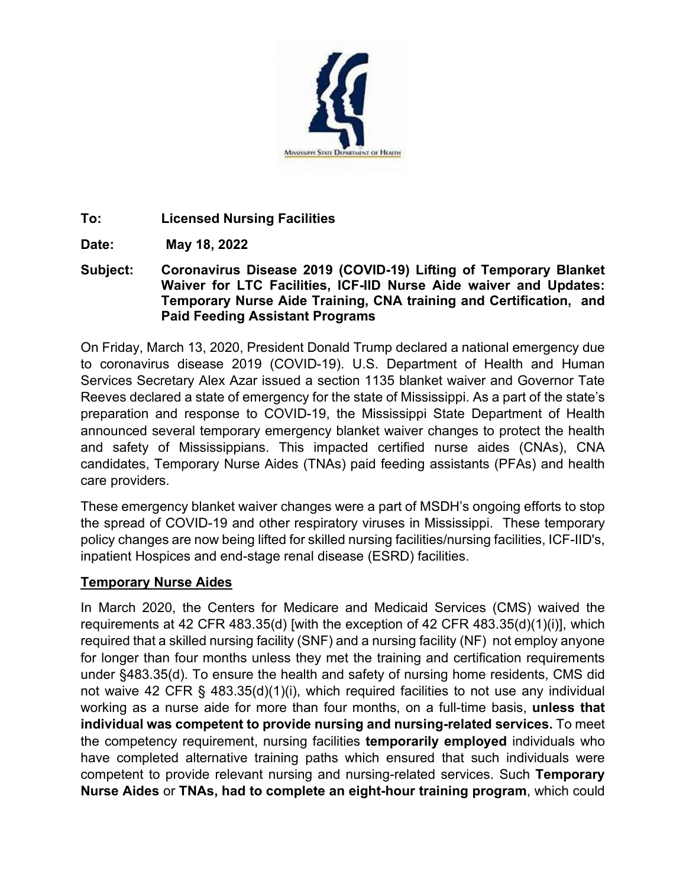

# **To: Licensed Nursing Facilities**

**Date: May 18, 2022**

**Subject: Coronavirus Disease 2019 (COVID-19) Lifting of Temporary Blanket Waiver for LTC Facilities, ICF-IID Nurse Aide waiver and Updates: Temporary Nurse Aide Training, CNA training and Certification, and Paid Feeding Assistant Programs**

On Friday, March 13, 2020, President Donald Trump declared a national emergency due to coronavirus disease 2019 (COVID-19). U.S. Department of Health and Human Services Secretary Alex Azar issued a section 1135 blanket waiver and Governor Tate Reeves declared a state of emergency for the state of Mississippi. As a part of the state's preparation and response to COVID-19, the Mississippi State Department of Health announced several temporary emergency blanket waiver changes to protect the health and safety of Mississippians. This impacted certified nurse aides (CNAs), CNA candidates, Temporary Nurse Aides (TNAs) paid feeding assistants (PFAs) and health care providers.

These emergency blanket waiver changes were a part of MSDH's ongoing efforts to stop the spread of COVID-19 and other respiratory viruses in Mississippi. These temporary policy changes are now being lifted for skilled nursing facilities/nursing facilities, ICF-IID's, inpatient Hospices and end-stage renal disease (ESRD) facilities.

### **Temporary Nurse Aides**

In March 2020, the Centers for Medicare and Medicaid Services (CMS) waived the requirements at 42 CFR 483.35(d) [with the exception of 42 CFR 483.35(d)(1)(i)], which required that a skilled nursing facility (SNF) and a nursing facility (NF) not employ anyone for longer than four months unless they met the training and certification requirements under §483.35(d). To ensure the health and safety of nursing home residents, CMS did not waive 42 CFR § 483.35(d)(1)(i), which required facilities to not use any individual working as a nurse aide for more than four months, on a full-time basis, **unless that individual was competent to provide nursing and nursing-related services.** To meet the competency requirement, nursing facilities **temporarily employed** individuals who have completed alternative training paths which ensured that such individuals were competent to provide relevant nursing and nursing-related services. Such **Temporary Nurse Aides** or **TNAs, had to complete an eight-hour training program**, which could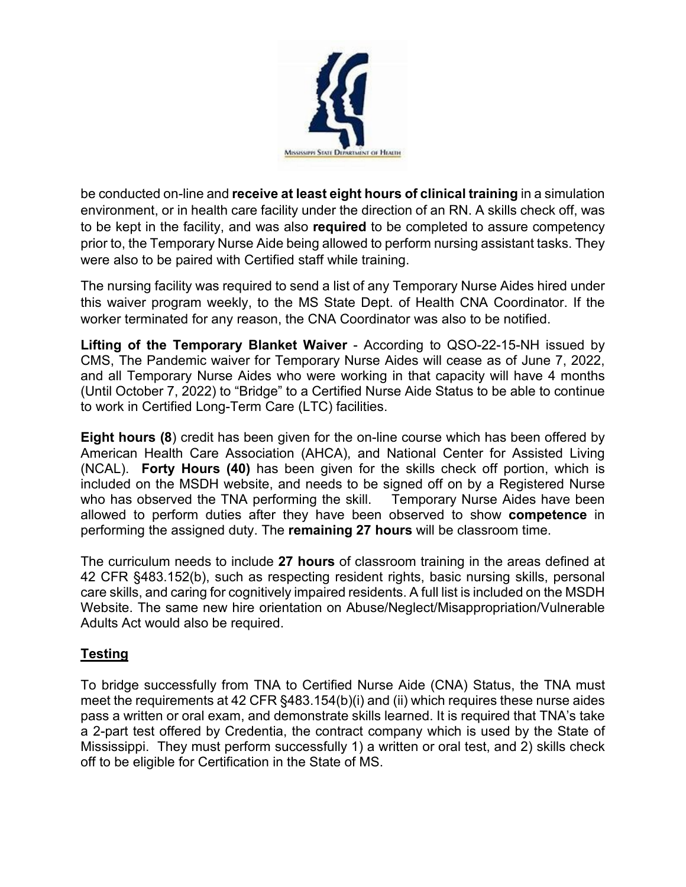

be conducted on-line and **receive at least eight hours of clinical training** in a simulation environment, or in health care facility under the direction of an RN. A skills check off, was to be kept in the facility, and was also **required** to be completed to assure competency prior to, the Temporary Nurse Aide being allowed to perform nursing assistant tasks. They were also to be paired with Certified staff while training.

The nursing facility was required to send a list of any Temporary Nurse Aides hired under this waiver program weekly, to the MS State Dept. of Health CNA Coordinator. If the worker terminated for any reason, the CNA Coordinator was also to be notified.

**Lifting of the Temporary Blanket Waiver** - According to QSO-22-15-NH issued by CMS, The Pandemic waiver for Temporary Nurse Aides will cease as of June 7, 2022, and all Temporary Nurse Aides who were working in that capacity will have 4 months (Until October 7, 2022) to "Bridge" to a Certified Nurse Aide Status to be able to continue to work in Certified Long-Term Care (LTC) facilities.

**Eight hours (8**) credit has been given for the on-line course which has been offered by American Health Care Association (AHCA), and National Center for Assisted Living (NCAL). **Forty Hours (40)** has been given for the skills check off portion, which is included on the MSDH website, and needs to be signed off on by a Registered Nurse who has observed the TNA performing the skill. Temporary Nurse Aides have been allowed to perform duties after they have been observed to show **competence** in performing the assigned duty. The **remaining 27 hours** will be classroom time.

The curriculum needs to include **27 hours** of classroom training in the areas defined at 42 CFR §483.152(b), such as respecting resident rights, basic nursing skills, personal care skills, and caring for cognitively impaired residents. A full list is included on the MSDH Website. The same new hire orientation on Abuse/Neglect/Misappropriation/Vulnerable Adults Act would also be required.

### **Testing**

To bridge successfully from TNA to Certified Nurse Aide (CNA) Status, the TNA must meet the requirements at 42 CFR §483.154(b)(i) and (ii) which requires these nurse aides pass a written or oral exam, and demonstrate skills learned. It is required that TNA's take a 2-part test offered by Credentia, the contract company which is used by the State of Mississippi. They must perform successfully 1) a written or oral test, and 2) skills check off to be eligible for Certification in the State of MS.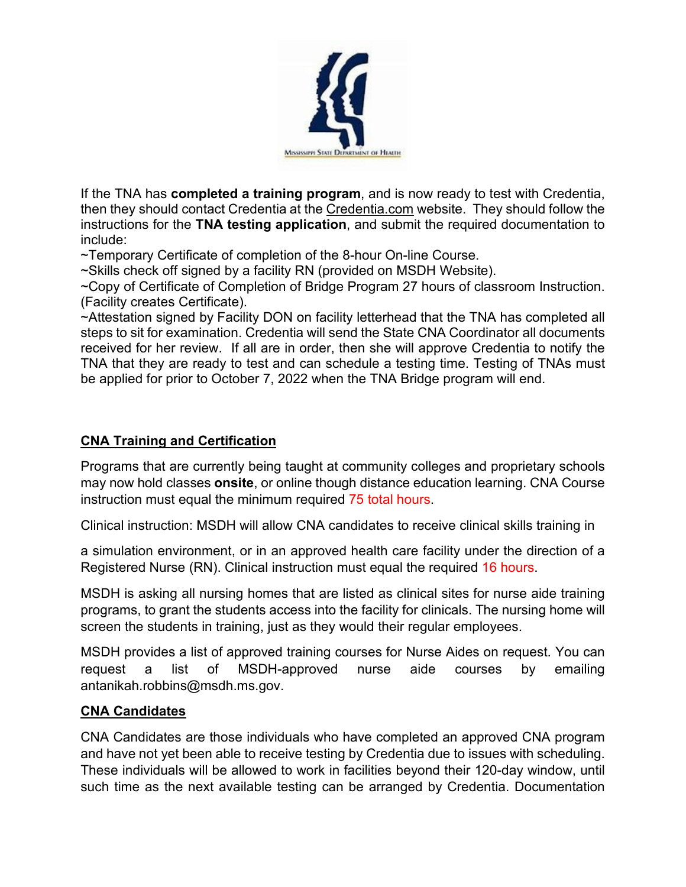

If the TNA has **completed a training program**, and is now ready to test with Credentia, then they should contact Credentia at the Credentia.com website. They should follow the instructions for the **TNA testing application**, and submit the required documentation to include:

~Temporary Certificate of completion of the 8-hour On-line Course.

~Skills check off signed by a facility RN (provided on MSDH Website).

~Copy of Certificate of Completion of Bridge Program 27 hours of classroom Instruction. (Facility creates Certificate).

~Attestation signed by Facility DON on facility letterhead that the TNA has completed all steps to sit for examination. Credentia will send the State CNA Coordinator all documents received for her review. If all are in order, then she will approve Credentia to notify the TNA that they are ready to test and can schedule a testing time. Testing of TNAs must be applied for prior to October 7, 2022 when the TNA Bridge program will end.

# **CNA Training and Certification**

Programs that are currently being taught at community colleges and proprietary schools may now hold classes **onsite**, or online though distance education learning. CNA Course instruction must equal the minimum required 75 total hours.

Clinical instruction: MSDH will allow CNA candidates to receive clinical skills training in

a simulation environment, or in an approved health care facility under the direction of a Registered Nurse (RN). Clinical instruction must equal the required 16 hours.

MSDH is asking all nursing homes that are listed as clinical sites for nurse aide training programs, to grant the students access into the facility for clinicals. The nursing home will screen the students in training, just as they would their regular employees.

MSDH provides a list of approved training courses for Nurse Aides on request. You can request a list of MSDH-approved nurse aide courses by emailing [antanikah.robbins@msdh.ms.gov.](mailto:antanikah.robbins%40msdh.ms.gov)

### **CNA Candidates**

CNA Candidates are those individuals who have completed an approved CNA program and have not yet been able to receive testing by Credentia due to issues with scheduling. These individuals will be allowed to work in facilities beyond their 120-day window, until such time as the next available testing can be arranged by Credentia. Documentation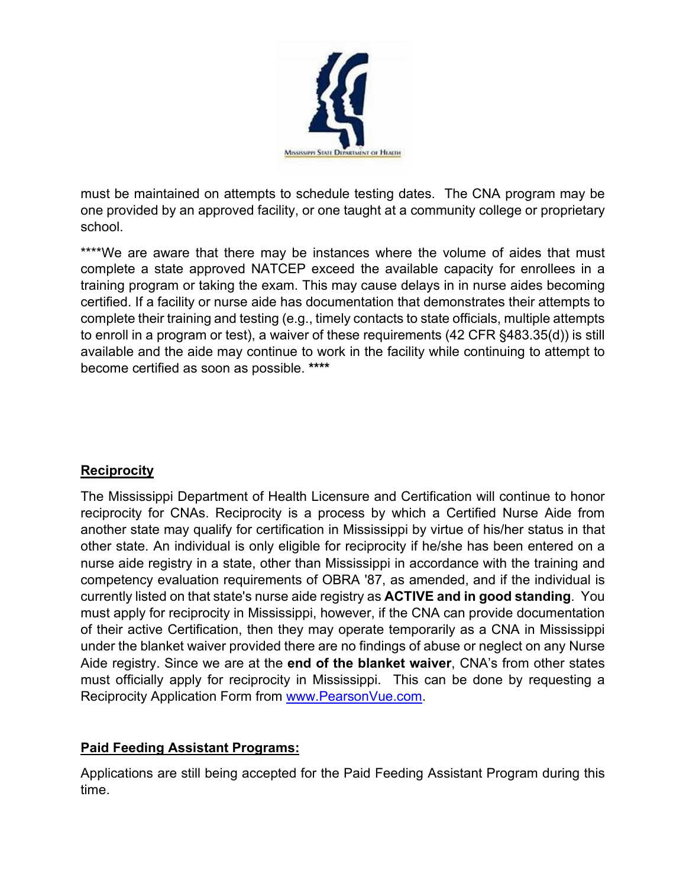

must be maintained on attempts to schedule testing dates. The CNA program may be one provided by an approved facility, or one taught at a community college or proprietary school.

\*\*\*\*We are aware that there may be instances where the volume of aides that must complete a state approved NATCEP exceed the available capacity for enrollees in a training program or taking the exam. This may cause delays in in nurse aides becoming certified. If a facility or nurse aide has documentation that demonstrates their attempts to complete their training and testing (e.g., timely contacts to state officials, multiple attempts to enroll in a program or test), a waiver of these requirements (42 CFR §483.35(d)) is still available and the aide may continue to work in the facility while continuing to attempt to become certified as soon as possible. **\*\*\*\***

### **Reciprocity**

The Mississippi Department of Health Licensure and Certification will continue to honor reciprocity for CNAs. Reciprocity is a process by which a Certified Nurse Aide from another state may qualify for certification in Mississippi by virtue of his/her status in that other state. An individual is only eligible for reciprocity if he/she has been entered on a nurse aide registry in a state, other than Mississippi in accordance with the training and competency evaluation requirements of OBRA '87, as amended, and if the individual is currently listed on that state's nurse aide registry as **ACTIVE and in good standing**. You must apply for reciprocity in Mississippi, however, if the CNA can provide documentation of their active Certification, then they may operate temporarily as a CNA in Mississippi under the blanket waiver provided there are no findings of abuse or neglect on any Nurse Aide registry. Since we are at the **end of the blanket waiver**, CNA's from other states must officially apply for reciprocity in Mississippi. This can be done by requesting a Reciprocity Application Form from [www.PearsonVue.com.](http://www.pearsonvue.com/)

# **Paid Feeding Assistant Programs:**

Applications are still being accepted for the Paid Feeding Assistant Program during this time.